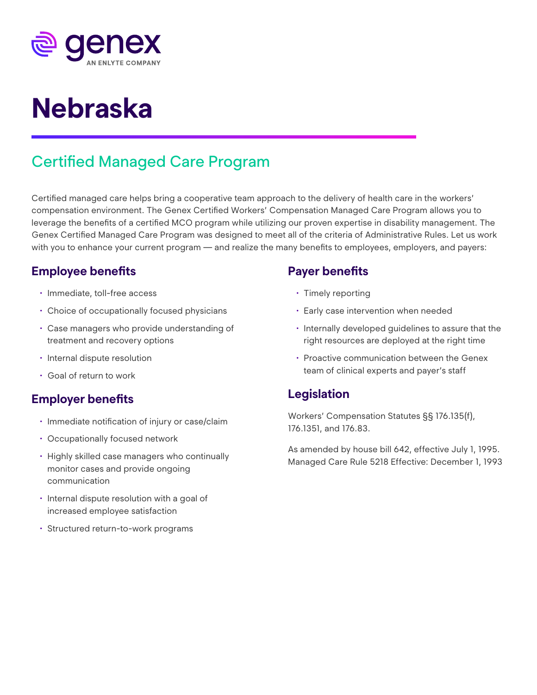

# **Nebraska**

# Certified Managed Care Program

Certified managed care helps bring a cooperative team approach to the delivery of health care in the workers' compensation environment. The Genex Certified Workers' Compensation Managed Care Program allows you to leverage the benefits of a certified MCO program while utilizing our proven expertise in disability management. The Genex Certified Managed Care Program was designed to meet all of the criteria of Administrative Rules. Let us work with you to enhance your current program — and realize the many benefits to employees, employers, and payers:

# **Employee benefits**

- Immediate, toll-free access
- Choice of occupationally focused physicians
- Case managers who provide understanding of treatment and recovery options
- Internal dispute resolution
- Goal of return to work

#### **Employer benefits**

- Immediate notification of injury or case/claim
- Occupationally focused network
- Highly skilled case managers who continually monitor cases and provide ongoing communication
- Internal dispute resolution with a goal of increased employee satisfaction
- Structured return-to-work programs

### **Payer benefits**

- Timely reporting
- Early case intervention when needed
- Internally developed guidelines to assure that the right resources are deployed at the right time
- Proactive communication between the Genex team of clinical experts and payer's staff

# **Legislation**

Workers' Compensation Statutes §§ 176.135(f), 176.1351, and 176.83.

As amended by house bill 642, effective July 1, 1995. Managed Care Rule 5218 Effective: December 1, 1993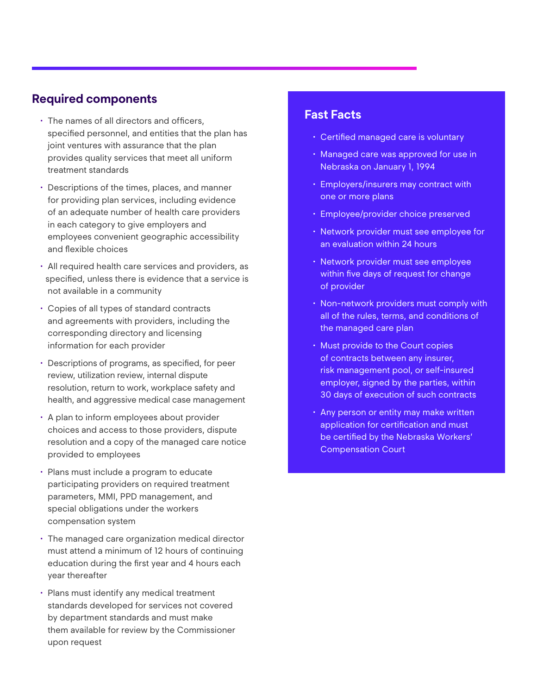#### **Required components**

- The names of all directors and officers, specified personnel, and entities that the plan has joint ventures with assurance that the plan provides quality services that meet all uniform treatment standards
- Descriptions of the times, places, and manner for providing plan services, including evidence of an adequate number of health care providers in each category to give employers and employees convenient geographic accessibility and flexible choices
- All required health care services and providers, as specified, unless there is evidence that a service is not available in a community
- Copies of all types of standard contracts and agreements with providers, including the corresponding directory and licensing information for each provider
- Descriptions of programs, as specified, for peer review, utilization review, internal dispute resolution, return to work, workplace safety and health, and aggressive medical case management
- A plan to inform employees about provider choices and access to those providers, dispute resolution and a copy of the managed care notice provided to employees
- Plans must include a program to educate participating providers on required treatment parameters, MMI, PPD management, and special obligations under the workers compensation system
- The managed care organization medical director must attend a minimum of 12 hours of continuing education during the first year and 4 hours each year thereafter
- Plans must identify any medical treatment standards developed for services not covered by department standards and must make them available for review by the Commissioner upon request

#### **Fast Facts**

- Certified managed care is voluntary
- Managed care was approved for use in Nebraska on January 1, 1994
- Employers/insurers may contract with one or more plans
- Employee/provider choice preserved
- Network provider must see employee for an evaluation within 24 hours
- Network provider must see employee within five days of request for change of provider
- Non-network providers must comply with all of the rules, terms, and conditions of the managed care plan
- Must provide to the Court copies of contracts between any insurer, risk management pool, or self-insured employer, signed by the parties, within 30 days of execution of such contracts
- Any person or entity may make written application for certification and must be certified by the Nebraska Workers' Compensation Court